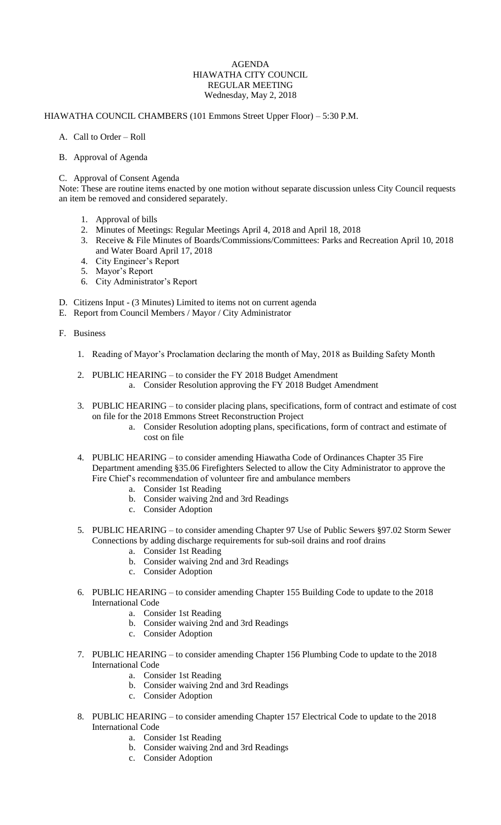## AGENDA HIAWATHA CITY COUNCIL REGULAR MEETING Wednesday, May 2, 2018

## HIAWATHA COUNCIL CHAMBERS (101 Emmons Street Upper Floor) – 5:30 P.M.

- A. Call to Order Roll
- B. Approval of Agenda

## C. Approval of Consent Agenda

Note: These are routine items enacted by one motion without separate discussion unless City Council requests an item be removed and considered separately.

- 1. Approval of bills
- 2. Minutes of Meetings: Regular Meetings April 4, 2018 and April 18, 2018
- 3. Receive & File Minutes of Boards/Commissions/Committees: Parks and Recreation April 10, 2018 and Water Board April 17, 2018
- 4. City Engineer's Report
- 5. Mayor's Report
- 6. City Administrator's Report
- D. Citizens Input (3 Minutes) Limited to items not on current agenda
- E. Report from Council Members / Mayor / City Administrator
- F. Business
	- 1. Reading of Mayor's Proclamation declaring the month of May, 2018 as Building Safety Month
	- 2. PUBLIC HEARING to consider the FY 2018 Budget Amendment a. Consider Resolution approving the FY 2018 Budget Amendment
	- 3. PUBLIC HEARING to consider placing plans, specifications, form of contract and estimate of cost on file for the 2018 Emmons Street Reconstruction Project
		- a. Consider Resolution adopting plans, specifications, form of contract and estimate of cost on file
	- 4. PUBLIC HEARING to consider amending Hiawatha Code of Ordinances Chapter 35 Fire Department amending §35.06 Firefighters Selected to allow the City Administrator to approve the Fire Chief's recommendation of volunteer fire and ambulance members
		- a. Consider 1st Reading
		- b. Consider waiving 2nd and 3rd Readings
		- c. Consider Adoption
	- 5. PUBLIC HEARING to consider amending Chapter 97 Use of Public Sewers §97.02 Storm Sewer Connections by adding discharge requirements for sub-soil drains and roof drains
		- a. Consider 1st Reading
		- b. Consider waiving 2nd and 3rd Readings
		- c. Consider Adoption
	- 6. PUBLIC HEARING to consider amending Chapter 155 Building Code to update to the 2018 International Code
		- a. Consider 1st Reading
		- b. Consider waiving 2nd and 3rd Readings
		- c. Consider Adoption
	- 7. PUBLIC HEARING to consider amending Chapter 156 Plumbing Code to update to the 2018 International Code
		- a. Consider 1st Reading
		- b. Consider waiving 2nd and 3rd Readings
		- c. Consider Adoption
	- 8. PUBLIC HEARING to consider amending Chapter 157 Electrical Code to update to the 2018 International Code
		- a. Consider 1st Reading
		- b. Consider waiving 2nd and 3rd Readings
		- c. Consider Adoption